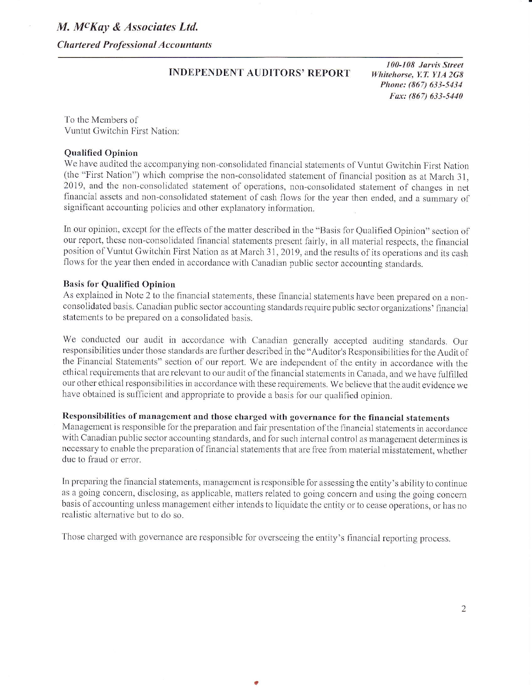**Chartered Professional Accountants** 

## **INDEPENDENT AUDITORS' REPORT**

100-108 Jarvis Street Whitehorse, Y.T. Y1A 2G8 Phone: (867) 633-5434 Fax: (867) 633-5440

To the Members of Vuntut Gwitchin First Nation:

#### **Qualified Opinion**

We have audited the accompanying non-consolidated financial statements of Vuntut Gwitchin First Nation (the "First Nation") which comprise the non-consolidated statement of financial position as at March 31, 2019, and the non-consolidated statement of operations, non-consolidated statement of changes in net financial assets and non-consolidated statement of cash flows for the year then ended, and a summary of significant accounting policies and other explanatory information.

In our opinion, except for the effects of the matter described in the "Basis for Qualified Opinion" section of our report, these non-consolidated financial statements present fairly, in all material respects, the financial position of Vuntut Gwitchin First Nation as at March 31, 2019, and the results of its operations and its cash flows for the year then ended in accordance with Canadian public sector accounting standards.

### **Basis for Qualified Opinion**

As explained in Note 2 to the financial statements, these financial statements have been prepared on a nonconsolidated basis. Canadian public sector accounting standards require public sector organizations' financial statements to be prepared on a consolidated basis.

We conducted our audit in accordance with Canadian generally accepted auditing standards. Our responsibilities under those standards are further described in the "Auditor's Responsibilities for the Audit of the Financial Statements" section of our report. We are independent of the entity in accordance with the ethical requirements that are relevant to our audit of the financial statements in Canada, and we have fulfilled our other ethical responsibilities in accordance with these requirements. We believe that the audit evidence we have obtained is sufficient and appropriate to provide a basis for our qualified opinion.

## Responsibilities of management and those charged with governance for the financial statements

Management is responsible for the preparation and fair presentation of the financial statements in accordance with Canadian public sector accounting standards, and for such internal control as management determines is necessary to enable the preparation of financial statements that are free from material misstatement, whether due to fraud or error.

In preparing the financial statements, management is responsible for assessing the entity's ability to continue as a going concern, disclosing, as applicable, matters related to going concern and using the going concern basis of accounting unless management either intends to liquidate the entity or to cease operations, or has no realistic alternative but to do so.

Those charged with governance are responsible for overseeing the entity's financial reporting process.